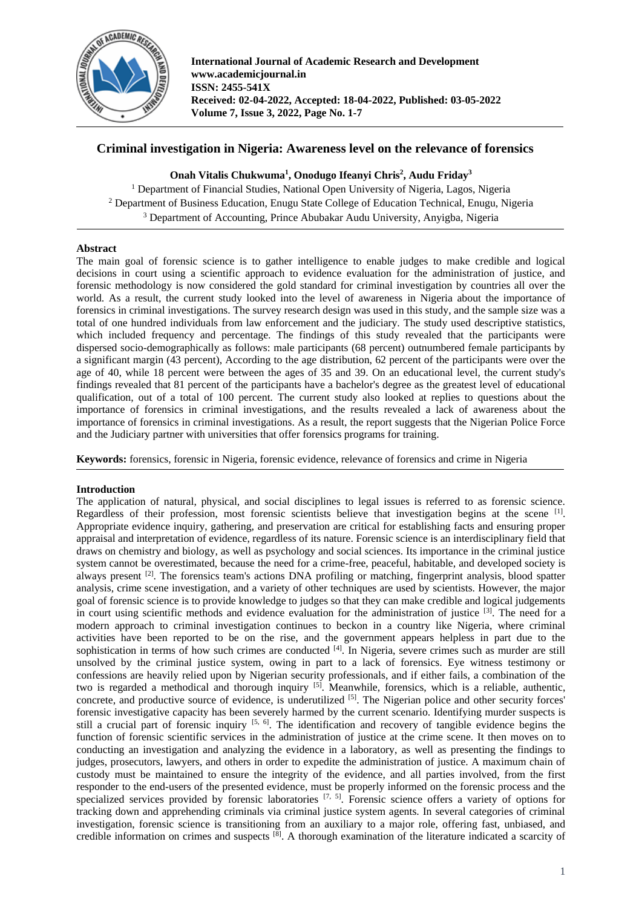

# **Criminal investigation in Nigeria: Awareness level on the relevance of forensics**

## **Onah Vitalis Chukwuma<sup>1</sup> , Onodugo Ifeanyi Chris<sup>2</sup> , Audu Friday<sup>3</sup>**

<sup>1</sup> Department of Financial Studies, National Open University of Nigeria, Lagos, Nigeria <sup>2</sup> Department of Business Education, Enugu State College of Education Technical, Enugu, Nigeria <sup>3</sup> Department of Accounting, Prince Abubakar Audu University, Anyigba, Nigeria

## **Abstract**

The main goal of forensic science is to gather intelligence to enable judges to make credible and logical decisions in court using a scientific approach to evidence evaluation for the administration of justice, and forensic methodology is now considered the gold standard for criminal investigation by countries all over the world. As a result, the current study looked into the level of awareness in Nigeria about the importance of forensics in criminal investigations. The survey research design was used in this study, and the sample size was a total of one hundred individuals from law enforcement and the judiciary. The study used descriptive statistics, which included frequency and percentage. The findings of this study revealed that the participants were dispersed socio-demographically as follows: male participants (68 percent) outnumbered female participants by a significant margin (43 percent), According to the age distribution, 62 percent of the participants were over the age of 40, while 18 percent were between the ages of 35 and 39. On an educational level, the current study's findings revealed that 81 percent of the participants have a bachelor's degree as the greatest level of educational qualification, out of a total of 100 percent. The current study also looked at replies to questions about the importance of forensics in criminal investigations, and the results revealed a lack of awareness about the importance of forensics in criminal investigations. As a result, the report suggests that the Nigerian Police Force and the Judiciary partner with universities that offer forensics programs for training.

**Keywords:** forensics, forensic in Nigeria, forensic evidence, relevance of forensics and crime in Nigeria

## **Introduction**

The application of natural, physical, and social disciplines to legal issues is referred to as forensic science. Regardless of their profession, most forensic scientists believe that investigation begins at the scene [1]. Appropriate evidence inquiry, gathering, and preservation are critical for establishing facts and ensuring proper appraisal and interpretation of evidence, regardless of its nature. Forensic science is an interdisciplinary field that draws on chemistry and biology, as well as psychology and social sciences. Its importance in the criminal justice system cannot be overestimated, because the need for a crime-free, peaceful, habitable, and developed society is always present [2]. The forensics team's actions DNA profiling or matching, fingerprint analysis, blood spatter analysis, crime scene investigation, and a variety of other techniques are used by scientists. However, the major goal of forensic science is to provide knowledge to judges so that they can make credible and logical judgements in court using scientific methods and evidence evaluation for the administration of justice  $[3]$ . The need for a modern approach to criminal investigation continues to beckon in a country like Nigeria, where criminal activities have been reported to be on the rise, and the government appears helpless in part due to the sophistication in terms of how such crimes are conducted <sup>[4]</sup>. In Nigeria, severe crimes such as murder are still unsolved by the criminal justice system, owing in part to a lack of forensics. Eye witness testimony or confessions are heavily relied upon by Nigerian security professionals, and if either fails, a combination of the two is regarded a methodical and thorough inquiry <sup>[5]</sup>. Meanwhile, forensics, which is a reliable, authentic, concrete, and productive source of evidence, is underutilized [5]. The Nigerian police and other security forces' forensic investigative capacity has been severely harmed by the current scenario. Identifying murder suspects is still a crucial part of forensic inquiry [5, 6]. The identification and recovery of tangible evidence begins the function of forensic scientific services in the administration of justice at the crime scene. It then moves on to conducting an investigation and analyzing the evidence in a laboratory, as well as presenting the findings to judges, prosecutors, lawyers, and others in order to expedite the administration of justice. A maximum chain of custody must be maintained to ensure the integrity of the evidence, and all parties involved, from the first responder to the end-users of the presented evidence, must be properly informed on the forensic process and the specialized services provided by forensic laboratories  $[7, 5]$ . Forensic science offers a variety of options for tracking down and apprehending criminals via criminal justice system agents. In several categories of criminal investigation, forensic science is transitioning from an auxiliary to a major role, offering fast, unbiased, and credible information on crimes and suspects  $[8]$ . A thorough examination of the literature indicated a scarcity of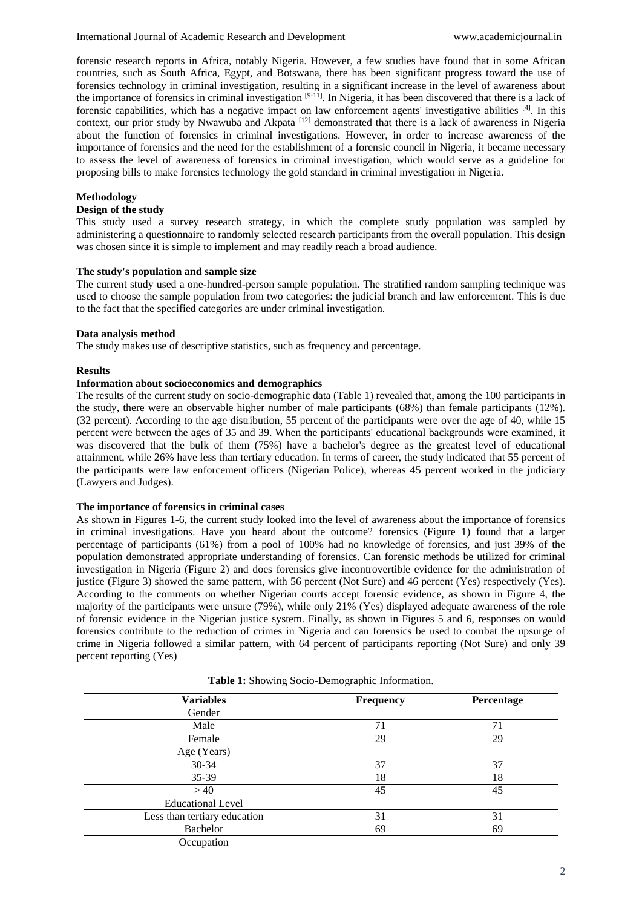forensic research reports in Africa, notably Nigeria. However, a few studies have found that in some African countries, such as South Africa, Egypt, and Botswana, there has been significant progress toward the use of forensics technology in criminal investigation, resulting in a significant increase in the level of awareness about the importance of forensics in criminal investigation <sup>[9-11]</sup>. In Nigeria, it has been discovered that there is a lack of forensic capabilities, which has a negative impact on law enforcement agents' investigative abilities [4]. In this context, our prior study by Nwawuba and Akpata [12] demonstrated that there is a lack of awareness in Nigeria about the function of forensics in criminal investigations. However, in order to increase awareness of the importance of forensics and the need for the establishment of a forensic council in Nigeria, it became necessary to assess the level of awareness of forensics in criminal investigation, which would serve as a guideline for proposing bills to make forensics technology the gold standard in criminal investigation in Nigeria.

## **Methodology**

### **Design of the study**

This study used a survey research strategy, in which the complete study population was sampled by administering a questionnaire to randomly selected research participants from the overall population. This design was chosen since it is simple to implement and may readily reach a broad audience.

### **The study's population and sample size**

The current study used a one-hundred-person sample population. The stratified random sampling technique was used to choose the sample population from two categories: the judicial branch and law enforcement. This is due to the fact that the specified categories are under criminal investigation.

### **Data analysis method**

The study makes use of descriptive statistics, such as frequency and percentage.

### **Results**

### **Information about socioeconomics and demographics**

The results of the current study on socio-demographic data (Table 1) revealed that, among the 100 participants in the study, there were an observable higher number of male participants (68%) than female participants (12%). (32 percent). According to the age distribution, 55 percent of the participants were over the age of 40, while 15 percent were between the ages of 35 and 39. When the participants' educational backgrounds were examined, it was discovered that the bulk of them (75%) have a bachelor's degree as the greatest level of educational attainment, while 26% have less than tertiary education. In terms of career, the study indicated that 55 percent of the participants were law enforcement officers (Nigerian Police), whereas 45 percent worked in the judiciary (Lawyers and Judges).

### **The importance of forensics in criminal cases**

As shown in Figures 1-6, the current study looked into the level of awareness about the importance of forensics in criminal investigations. Have you heard about the outcome? forensics (Figure 1) found that a larger percentage of participants (61%) from a pool of 100% had no knowledge of forensics, and just 39% of the population demonstrated appropriate understanding of forensics. Can forensic methods be utilized for criminal investigation in Nigeria (Figure 2) and does forensics give incontrovertible evidence for the administration of justice (Figure 3) showed the same pattern, with 56 percent (Not Sure) and 46 percent (Yes) respectively (Yes). According to the comments on whether Nigerian courts accept forensic evidence, as shown in Figure 4, the majority of the participants were unsure (79%), while only 21% (Yes) displayed adequate awareness of the role of forensic evidence in the Nigerian justice system. Finally, as shown in Figures 5 and 6, responses on would forensics contribute to the reduction of crimes in Nigeria and can forensics be used to combat the upsurge of crime in Nigeria followed a similar pattern, with 64 percent of participants reporting (Not Sure) and only 39 percent reporting (Yes)

| <b>Variables</b>             | <b>Frequency</b> | Percentage |
|------------------------------|------------------|------------|
| Gender                       |                  |            |
| Male                         | 71               | 71         |
| Female                       | 29               | 29         |
| Age (Years)                  |                  |            |
| 30-34                        | 37               | 37         |
| 35-39                        | 18               | 18         |
| >40                          | 45               | 45         |
| <b>Educational Level</b>     |                  |            |
| Less than tertiary education | 31               | 31         |
| Bachelor                     | 69               | 69         |
| Occupation                   |                  |            |

**Table 1:** Showing Socio-Demographic Information.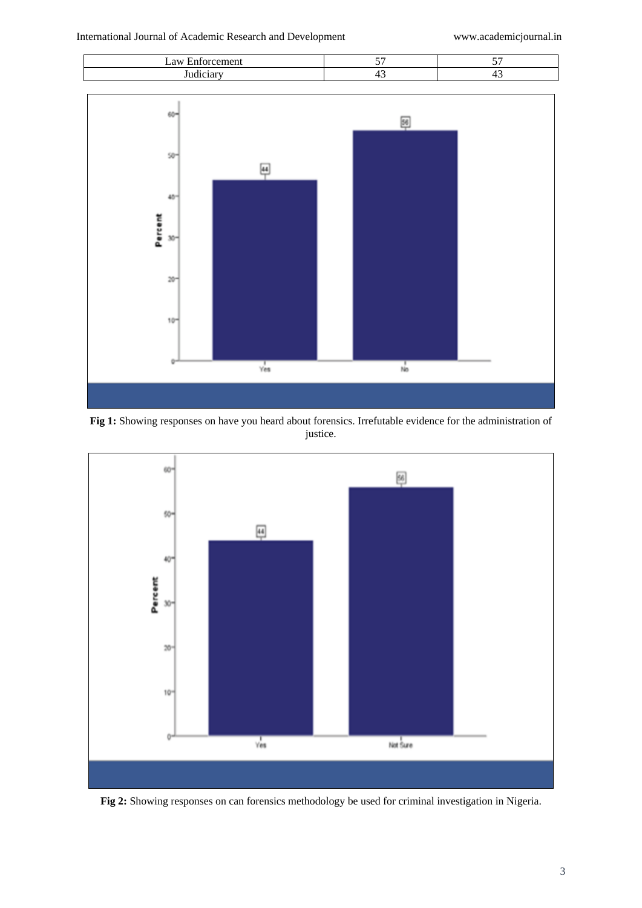

**Fig 1:** Showing responses on have you heard about forensics. Irrefutable evidence for the administration of justice.



**Fig 2:** Showing responses on can forensics methodology be used for criminal investigation in Nigeria.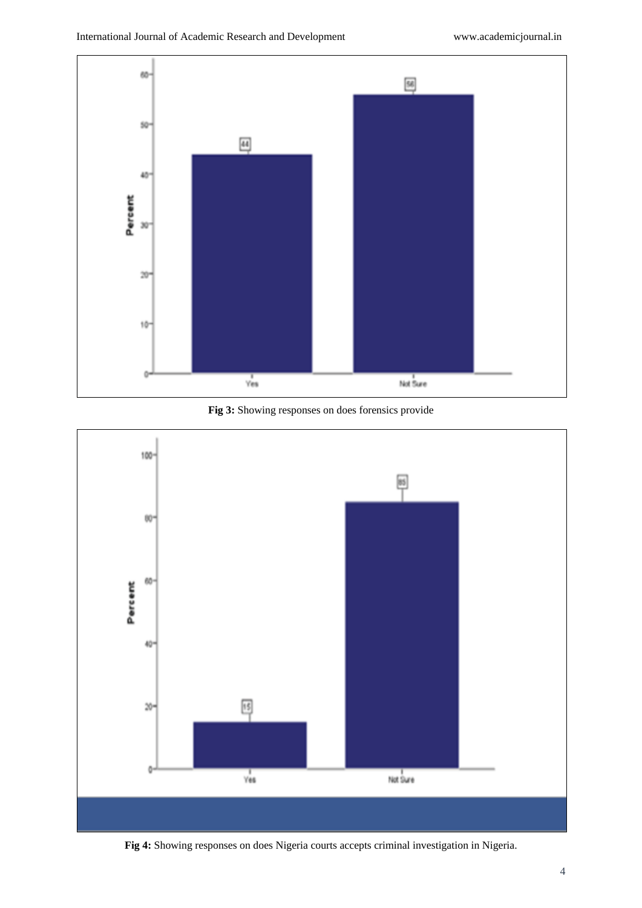

**Fig 3:** Showing responses on does forensics provide



**Fig 4:** Showing responses on does Nigeria courts accepts criminal investigation in Nigeria.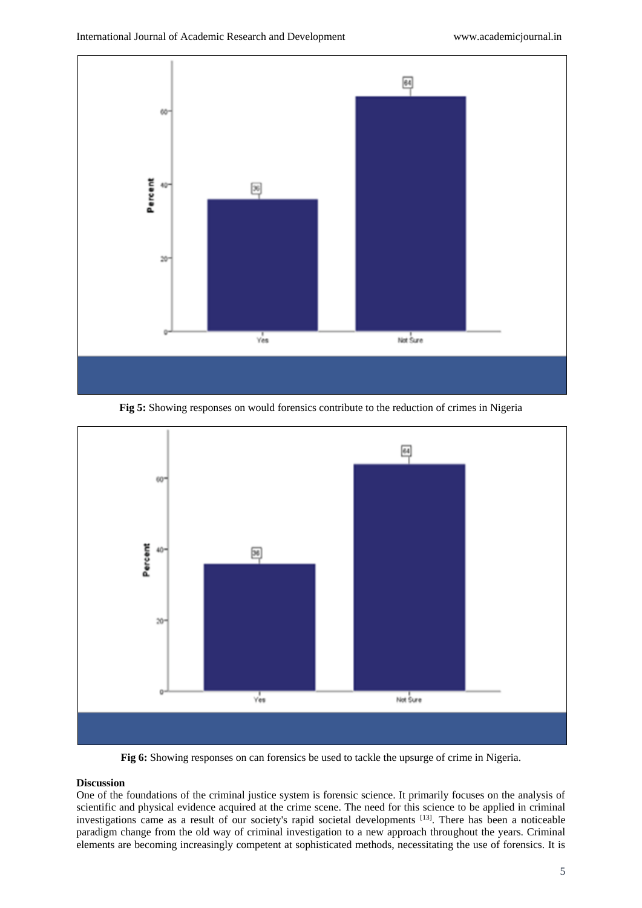

**Fig 5:** Showing responses on would forensics contribute to the reduction of crimes in Nigeria



**Fig 6:** Showing responses on can forensics be used to tackle the upsurge of crime in Nigeria.

## **Discussion**

One of the foundations of the criminal justice system is forensic science. It primarily focuses on the analysis of scientific and physical evidence acquired at the crime scene. The need for this science to be applied in criminal investigations came as a result of our society's rapid societal developments [13]. There has been a noticeable paradigm change from the old way of criminal investigation to a new approach throughout the years. Criminal elements are becoming increasingly competent at sophisticated methods, necessitating the use of forensics. It is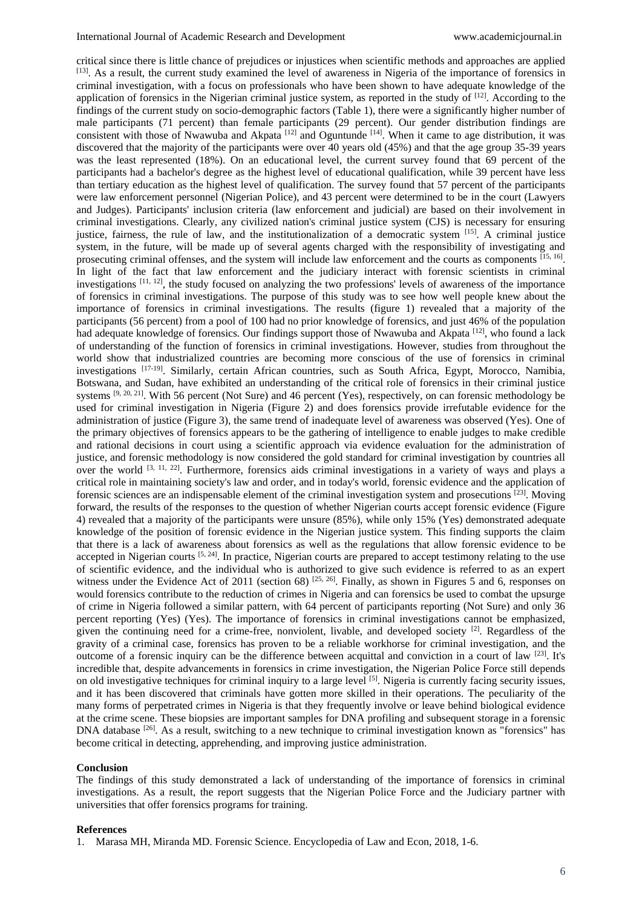critical since there is little chance of prejudices or injustices when scientific methods and approaches are applied [13]. As a result, the current study examined the level of awareness in Nigeria of the importance of forensics in criminal investigation, with a focus on professionals who have been shown to have adequate knowledge of the application of forensics in the Nigerian criminal justice system, as reported in the study of [12]. According to the findings of the current study on socio-demographic factors (Table 1), there were a significantly higher number of male participants (71 percent) than female participants (29 percent). Our gender distribution findings are consistent with those of Nwawuba and Akpata [12] and Oguntunde [14]. When it came to age distribution, it was discovered that the majority of the participants were over 40 years old (45%) and that the age group 35-39 years was the least represented (18%). On an educational level, the current survey found that 69 percent of the participants had a bachelor's degree as the highest level of educational qualification, while 39 percent have less than tertiary education as the highest level of qualification. The survey found that 57 percent of the participants were law enforcement personnel (Nigerian Police), and 43 percent were determined to be in the court (Lawyers and Judges). Participants' inclusion criteria (law enforcement and judicial) are based on their involvement in criminal investigations. Clearly, any civilized nation's criminal justice system (CJS) is necessary for ensuring justice, fairness, the rule of law, and the institutionalization of a democratic system  $^{[15]}$ . A criminal justice system, in the future, will be made up of several agents charged with the responsibility of investigating and prosecuting criminal offenses, and the system will include law enforcement and the courts as components [15, 16]. In light of the fact that law enforcement and the judiciary interact with forensic scientists in criminal investigations [11, 12], the study focused on analyzing the two professions' levels of awareness of the importance of forensics in criminal investigations. The purpose of this study was to see how well people knew about the importance of forensics in criminal investigations. The results (figure 1) revealed that a majority of the participants (56 percent) from a pool of 100 had no prior knowledge of forensics, and just 46% of the population had adequate knowledge of forensics. Our findings support those of Nwawuba and Akpata  $[12]$ , who found a lack of understanding of the function of forensics in criminal investigations. However, studies from throughout the world show that industrialized countries are becoming more conscious of the use of forensics in criminal investigations [17-19]. Similarly, certain African countries, such as South Africa, Egypt, Morocco, Namibia, Botswana, and Sudan, have exhibited an understanding of the critical role of forensics in their criminal justice systems  $[9, 20, 21]$ . With 56 percent (Not Sure) and 46 percent (Yes), respectively, on can forensic methodology be used for criminal investigation in Nigeria (Figure 2) and does forensics provide irrefutable evidence for the administration of justice (Figure 3), the same trend of inadequate level of awareness was observed (Yes). One of the primary objectives of forensics appears to be the gathering of intelligence to enable judges to make credible and rational decisions in court using a scientific approach via evidence evaluation for the administration of justice, and forensic methodology is now considered the gold standard for criminal investigation by countries all over the world <sup>[3, 11, 22]</sup>. Furthermore, forensics aids criminal investigations in a variety of ways and plays a critical role in maintaining society's law and order, and in today's world, forensic evidence and the application of forensic sciences are an indispensable element of the criminal investigation system and prosecutions  $[23]$ . Moving forward, the results of the responses to the question of whether Nigerian courts accept forensic evidence (Figure 4) revealed that a majority of the participants were unsure (85%), while only 15% (Yes) demonstrated adequate knowledge of the position of forensic evidence in the Nigerian justice system. This finding supports the claim that there is a lack of awareness about forensics as well as the regulations that allow forensic evidence to be accepted in Nigerian courts [5, 24]. In practice, Nigerian courts are prepared to accept testimony relating to the use of scientific evidence, and the individual who is authorized to give such evidence is referred to as an expert witness under the Evidence Act of 2011 (section 68)  $[25, 26]$ . Finally, as shown in Figures 5 and 6, responses on would forensics contribute to the reduction of crimes in Nigeria and can forensics be used to combat the upsurge of crime in Nigeria followed a similar pattern, with 64 percent of participants reporting (Not Sure) and only 36 percent reporting (Yes) (Yes). The importance of forensics in criminal investigations cannot be emphasized, given the continuing need for a crime-free, nonviolent, livable, and developed society <sup>[2]</sup>. Regardless of the gravity of a criminal case, forensics has proven to be a reliable workhorse for criminal investigation, and the outcome of a forensic inquiry can be the difference between acquittal and conviction in a court of law  $[23]$ . It's incredible that, despite advancements in forensics in crime investigation, the Nigerian Police Force still depends on old investigative techniques for criminal inquiry to a large level  $[5]$ . Nigeria is currently facing security issues, and it has been discovered that criminals have gotten more skilled in their operations. The peculiarity of the many forms of perpetrated crimes in Nigeria is that they frequently involve or leave behind biological evidence at the crime scene. These biopsies are important samples for DNA profiling and subsequent storage in a forensic DNA database <sup>[26]</sup>. As a result, switching to a new technique to criminal investigation known as "forensics" has become critical in detecting, apprehending, and improving justice administration.

#### **Conclusion**

The findings of this study demonstrated a lack of understanding of the importance of forensics in criminal investigations. As a result, the report suggests that the Nigerian Police Force and the Judiciary partner with universities that offer forensics programs for training.

#### **References**

1. Marasa MH, Miranda MD. Forensic Science. Encyclopedia of Law and Econ, 2018, 1-6.